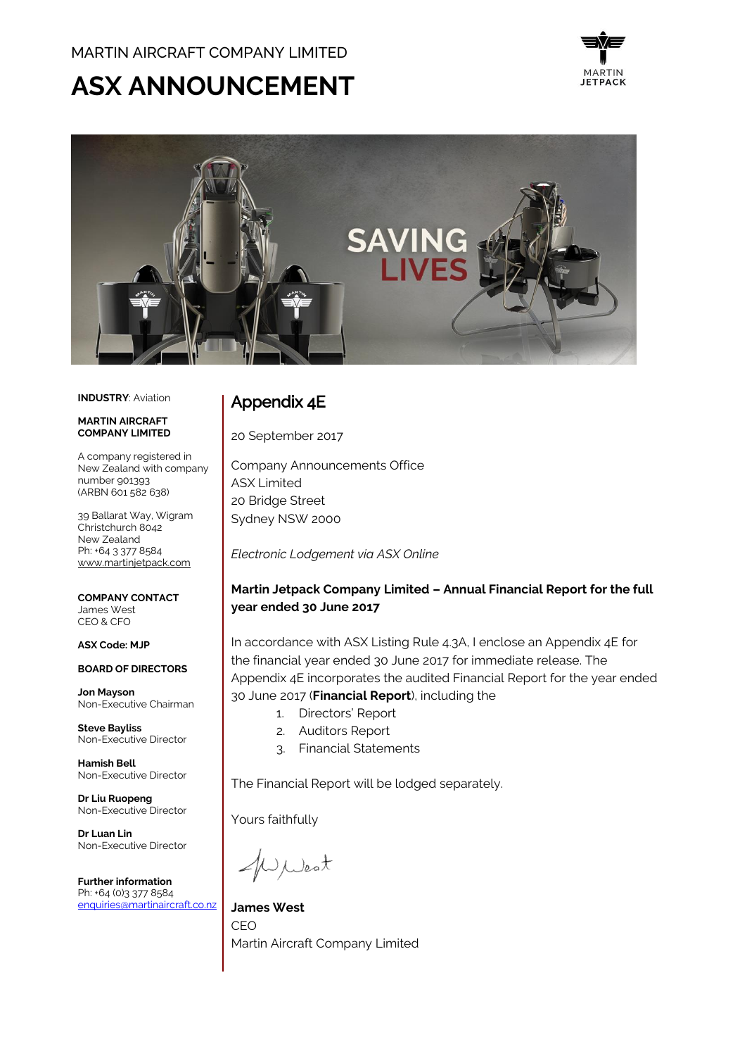# **ASX ANNOUNCEMENT**





**INDUSTRY**: Aviation

#### **MARTIN AIRCRAFT COMPANY LIMITED**

A company registered in New Zealand with company number 901393 (ARBN 601 582 638)

39 Ballarat Way, Wigram Christchurch 8042 New Zealand Ph: +64 3 377 8584 [www.martinjetpack.com](http://www.martinjetpack.com/)

**COMPANY CONTACT** James West CEO & CFO

#### **ASX Code: MJP**

**BOARD OF DIRECTORS**

**Jon Mayson**  Non-Executive Chairman

**Steve Bayliss** Non-Executive Director

**Hamish Bell** Non-Executive Director

**Dr Liu Ruopeng**  Non-Executive Director

**Dr Luan Lin** Non-Executive Director

**Further information** Ph: +64 (0)3 377 8584 [enquiries@martinaircraft.co.nz](mailto:enquiries@martinaircraft.co.nz)

## Appendix 4E

20 September 2017

Company Announcements Office ASX Limited 20 Bridge Street Sydney NSW 2000

*Electronic Lodgement via ASX Online*

### **Martin Jetpack Company Limited – Annual Financial Report for the full year ended 30 June 2017**

In accordance with ASX Listing Rule 4.3A, I enclose an Appendix 4E for the financial year ended 30 June 2017 for immediate release. The Appendix 4E incorporates the audited Financial Report for the year ended 30 June 2017 (**Financial Report**), including the

- 1. Directors' Report
- 2. Auditors Report
- 3. Financial Statements

The Financial Report will be lodged separately.

Yours faithfully

WWest

**James West** CEO Martin Aircraft Company Limited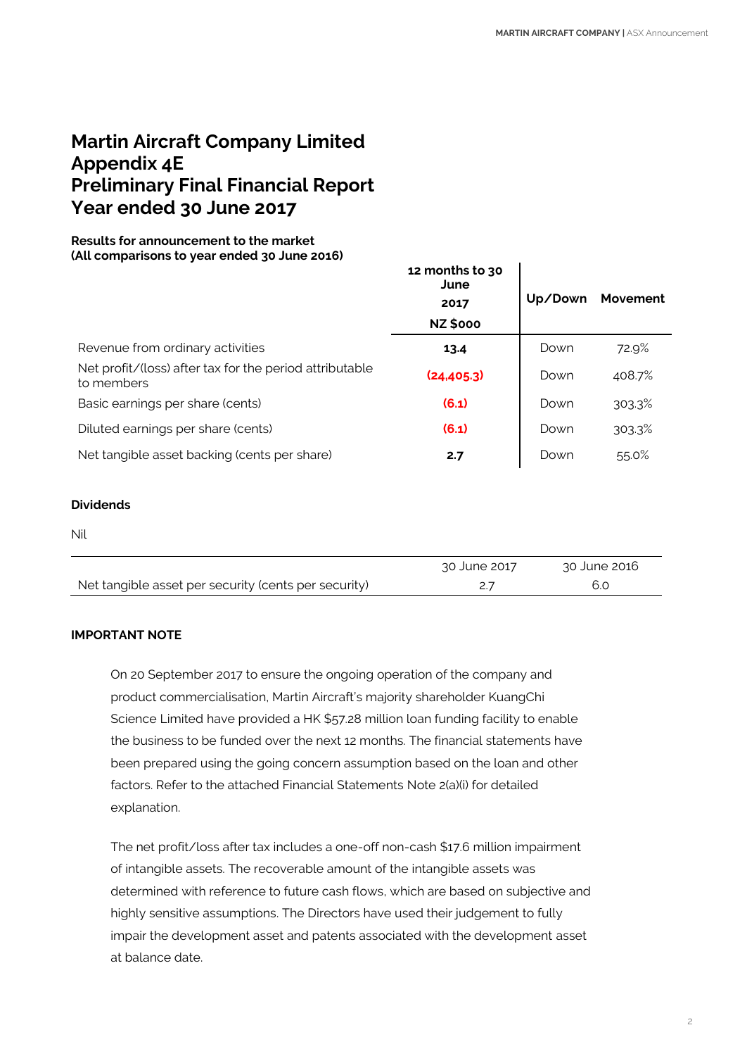# **Martin Aircraft Company Limited Appendix 4E Preliminary Final Financial Report Year ended 30 June 2017**

### **Results for announcement to the market (All comparisons to year ended 30 June 2016)**

|                                                                       | 12 months to 30<br>June<br>2017<br><b>NZ \$000</b> | Up/Down | Movement |
|-----------------------------------------------------------------------|----------------------------------------------------|---------|----------|
| Revenue from ordinary activities                                      | 13.4                                               | Down    | 72.9%    |
| Net profit/(loss) after tax for the period attributable<br>to members | (24, 405.3)                                        | Down    | 408.7%   |
| Basic earnings per share (cents)                                      | (6.1)                                              | Down    | 303.3%   |
| Diluted earnings per share (cents)                                    | (6.1)                                              | Down    | 303.3%   |
| Net tangible asset backing (cents per share)                          | 2.7                                                | Down    | 55.0%    |

### **Dividends**

Nil

|                                                      | 30 June 2017 | 30 June 2016 |  |
|------------------------------------------------------|--------------|--------------|--|
| Net tangible asset per security (cents per security) |              |              |  |

### **IMPORTANT NOTE**

On 20 September 2017 to ensure the ongoing operation of the company and product commercialisation, Martin Aircraft's majority shareholder KuangChi Science Limited have provided a HK \$57.28 million loan funding facility to enable the business to be funded over the next 12 months. The financial statements have been prepared using the going concern assumption based on the loan and other factors. Refer to the attached Financial Statements Note 2(a)(i) for detailed explanation.

The net profit/loss after tax includes a one-off non-cash \$17.6 million impairment of intangible assets. The recoverable amount of the intangible assets was determined with reference to future cash flows, which are based on subjective and highly sensitive assumptions. The Directors have used their judgement to fully impair the development asset and patents associated with the development asset at balance date.